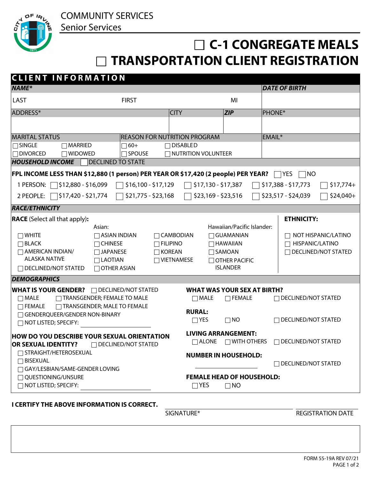COMMUNITY SERVICES

Senior Services



## **C-1 CONGREGATE MEALS TRANSPORTATION CLIENT REGISTRATION**

| <b>CLIENT INFORMATION</b>                                                                                            |                                    |                                                              |                                                               |                                   |  |  |  |  |  |
|----------------------------------------------------------------------------------------------------------------------|------------------------------------|--------------------------------------------------------------|---------------------------------------------------------------|-----------------------------------|--|--|--|--|--|
| <b>NAME*</b>                                                                                                         |                                    |                                                              |                                                               | <b>DATE OF BIRTH</b>              |  |  |  |  |  |
| <b>LAST</b><br><b>FIRST</b>                                                                                          |                                    |                                                              | MI                                                            |                                   |  |  |  |  |  |
| ADDRESS*                                                                                                             |                                    | <b>CITY</b>                                                  | <b>ZIP</b>                                                    | <b>PHONE*</b>                     |  |  |  |  |  |
|                                                                                                                      |                                    |                                                              |                                                               |                                   |  |  |  |  |  |
| <b>MARITAL STATUS</b><br><b>REASON FOR NUTRITION PROGRAM</b>                                                         |                                    |                                                              |                                                               | EMAIL*                            |  |  |  |  |  |
| <b>SINGLE</b><br>$\Box$ MARRIED                                                                                      | $\Box$ 60+                         | $\Box$ DISABLED                                              |                                                               |                                   |  |  |  |  |  |
| $\Box$ Divorced<br>$\Box$ WIDOWED                                                                                    | $\Box$ SPOUSE                      | $\Box$ NUTRITION VOLUNTEER                                   |                                                               |                                   |  |  |  |  |  |
| <b>HOUSEHOLD INCOME</b><br><b>DECLINED TO STATE</b>                                                                  |                                    |                                                              |                                                               |                                   |  |  |  |  |  |
| FPL INCOME LESS THAN \$12,880 (1 person) PER YEAR OR \$17,420 (2 people) PER YEAR? $\Box$ YES<br> NO                 |                                    |                                                              |                                                               |                                   |  |  |  |  |  |
| \$16,100 - \$17,129<br>│\$12,880 - \$16,099<br>\$17,130 - \$17,387<br>\$17,388 - \$17,773<br>1 PERSON:<br>$$17,774+$ |                                    |                                                              |                                                               |                                   |  |  |  |  |  |
|                                                                                                                      |                                    |                                                              |                                                               |                                   |  |  |  |  |  |
| │\$17,420 - \$21,774<br>2 PEOPLE:                                                                                    | $$21,775 - $23,168$                | \$23,169 - \$23,516                                          |                                                               | \$23,517 - \$24,039<br>$$24,040+$ |  |  |  |  |  |
| <b>RACE/ETHNICITY</b>                                                                                                |                                    |                                                              |                                                               |                                   |  |  |  |  |  |
| <b>RACE</b> (Select all that apply):                                                                                 |                                    |                                                              | <b>ETHNICITY:</b>                                             |                                   |  |  |  |  |  |
| Asian:                                                                                                               |                                    |                                                              | Hawaiian/Pacific Islander:                                    |                                   |  |  |  |  |  |
| $\Box$ White<br>$\Box$ ASIAN INDIAN                                                                                  | $\Box$ CAMBODIAN                   | $\Box$ NOT HISPANIC/LATINO                                   |                                                               |                                   |  |  |  |  |  |
| $\Box$ BLACK<br>$\Box$ CHINESE                                                                                       | $\Box$ FILIPINO<br>$\Box$ HAWAIIAN |                                                              |                                                               | $\Box$ HISPANIC/LATINO            |  |  |  |  |  |
| $\Box$ AMERICAN INDIAN/<br>$\Box$ JAPANESE                                                                           |                                    | $\Box$ DECLINED/NOT STATED<br>$\Box$ KOREAN<br>$\Box$ SAMOAN |                                                               |                                   |  |  |  |  |  |
| <b>ALASKA NATIVE</b><br>$\Box$ LAOTIAN                                                                               |                                    | $\Box$ VIETNAMESE<br>$\Box$ OTHER PACIFIC                    |                                                               |                                   |  |  |  |  |  |
| $\Box$ DECLINED/NOT STATED<br>$\Box$ OTHER ASIAN                                                                     |                                    |                                                              | <b>ISLANDER</b>                                               |                                   |  |  |  |  |  |
| <b>DEMOGRAPHICS</b>                                                                                                  |                                    |                                                              |                                                               |                                   |  |  |  |  |  |
| <b>WHAT IS YOUR GENDER? DECLINED/NOT STATED</b><br><b>WHAT WAS YOUR SEX AT BIRTH?</b>                                |                                    |                                                              |                                                               |                                   |  |  |  |  |  |
| TRANSGENDER; FEMALE TO MALE<br>$\Box$ MALE                                                                           |                                    | $\Box$ MALE                                                  | $\Box$ FEMALE                                                 | $\Box$ DECLINED/NOT STATED        |  |  |  |  |  |
| TRANSGENDER; MALE TO FEMALE<br>$\Box$ FEMALE                                                                         |                                    |                                                              |                                                               |                                   |  |  |  |  |  |
| □ GENDERQUEER/GENDER NON-BINARY                                                                                      |                                    | <b>RURAL:</b>                                                |                                                               |                                   |  |  |  |  |  |
| $\Box$ NOT LISTED; SPECIFY:                                                                                          |                                    | $\Box$ YES                                                   | $\Box$ NO                                                     | $\Box$ DECLINED/NOT STATED        |  |  |  |  |  |
|                                                                                                                      |                                    |                                                              |                                                               |                                   |  |  |  |  |  |
| <b>HOW DO YOU DESCRIBE YOUR SEXUAL ORIENTATION</b>                                                                   |                                    |                                                              | <b>LIVING ARRANGEMENT:</b><br>$\Box$ ALONE $\Box$ WITH OTHERS |                                   |  |  |  |  |  |
| <b>OR SEXUAL IDENTITY?</b>                                                                                           | $\Box$ DECLINED/NOT STATED         |                                                              |                                                               | $\Box$ DECLINED/NOT STATED        |  |  |  |  |  |
| □ STRAIGHT/HETEROSEXUAL                                                                                              |                                    |                                                              | <b>NUMBER IN HOUSEHOLD:</b>                                   |                                   |  |  |  |  |  |
| $\sqcap$ BISEXUAL                                                                                                    |                                    |                                                              |                                                               | $\Box$ DECLINED/NOT STATED        |  |  |  |  |  |
| $\Box$ GAY/LESBIAN/SAME-GENDER LOVING                                                                                |                                    |                                                              |                                                               |                                   |  |  |  |  |  |
| $\sqcap$ Questioning/UNSURE<br><b>FEMALE HEAD OF HOUSEHOLD:</b>                                                      |                                    |                                                              |                                                               |                                   |  |  |  |  |  |
| $\Box$ NOT LISTED; SPECIFY:                                                                                          |                                    | $\Box$ YES                                                   | $\Box$ NO                                                     |                                   |  |  |  |  |  |
|                                                                                                                      |                                    |                                                              |                                                               |                                   |  |  |  |  |  |

## **I CERTIFY THE ABOVE INFORMATION IS CORRECT.**

SIGNATURE\* REGISTRATION DATE